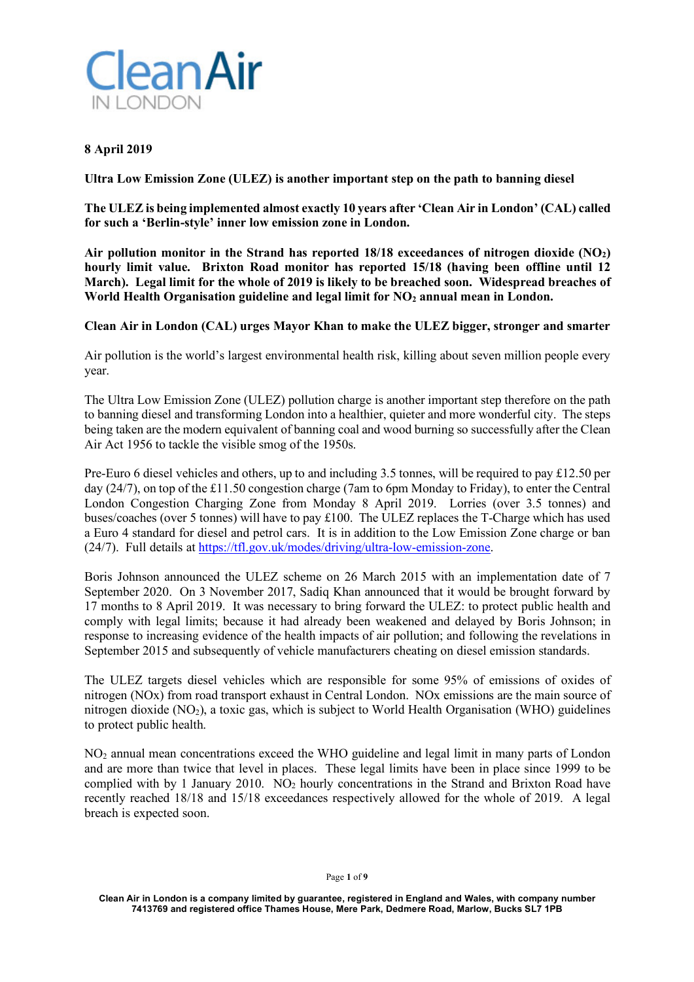

## **8 April 2019**

**Ultra Low Emission Zone (ULEZ) is another important step on the path to banning diesel** 

**The ULEZ is being implemented almost exactly 10 years after 'Clean Air in London' (CAL) called for such a 'Berlin-style' inner low emission zone in London.**

**Air pollution monitor in the Strand has reported 18/18 exceedances of nitrogen dioxide (NO2) hourly limit value. Brixton Road monitor has reported 15/18 (having been offline until 12 March). Legal limit for the whole of 2019 is likely to be breached soon. Widespread breaches of**  World Health Organisation guideline and legal limit for NO<sub>2</sub> annual mean in London.

**Clean Air in London (CAL) urges Mayor Khan to make the ULEZ bigger, stronger and smarter**

Air pollution is the world's largest environmental health risk, killing about seven million people every year.

The Ultra Low Emission Zone (ULEZ) pollution charge is another important step therefore on the path to banning diesel and transforming London into a healthier, quieter and more wonderful city. The steps being taken are the modern equivalent of banning coal and wood burning so successfully after the Clean Air Act 1956 to tackle the visible smog of the 1950s.

Pre-Euro 6 diesel vehicles and others, up to and including 3.5 tonnes, will be required to pay £12.50 per day (24/7), on top of the £11.50 congestion charge (7am to 6pm Monday to Friday), to enter the Central London Congestion Charging Zone from Monday 8 April 2019. Lorries (over 3.5 tonnes) and buses/coaches (over 5 tonnes) will have to pay £100. The ULEZ replaces the T-Charge which has used a Euro 4 standard for diesel and petrol cars. It is in addition to the Low Emission Zone charge or ban (24/7). Full details at https://tfl.gov.uk/modes/driving/ultra-low-emission-zone.

Boris Johnson announced the ULEZ scheme on 26 March 2015 with an implementation date of 7 September 2020. On 3 November 2017, Sadiq Khan announced that it would be brought forward by 17 months to 8 April 2019. It was necessary to bring forward the ULEZ: to protect public health and comply with legal limits; because it had already been weakened and delayed by Boris Johnson; in response to increasing evidence of the health impacts of air pollution; and following the revelations in September 2015 and subsequently of vehicle manufacturers cheating on diesel emission standards.

The ULEZ targets diesel vehicles which are responsible for some 95% of emissions of oxides of nitrogen (NOx) from road transport exhaust in Central London. NOx emissions are the main source of nitrogen dioxide ( $NO<sub>2</sub>$ ), a toxic gas, which is subject to World Health Organisation (WHO) guidelines to protect public health.

NO2 annual mean concentrations exceed the WHO guideline and legal limit in many parts of London and are more than twice that level in places. These legal limits have been in place since 1999 to be complied with by 1 January 2010. NO<sub>2</sub> hourly concentrations in the Strand and Brixton Road have recently reached 18/18 and 15/18 exceedances respectively allowed for the whole of 2019. A legal breach is expected soon.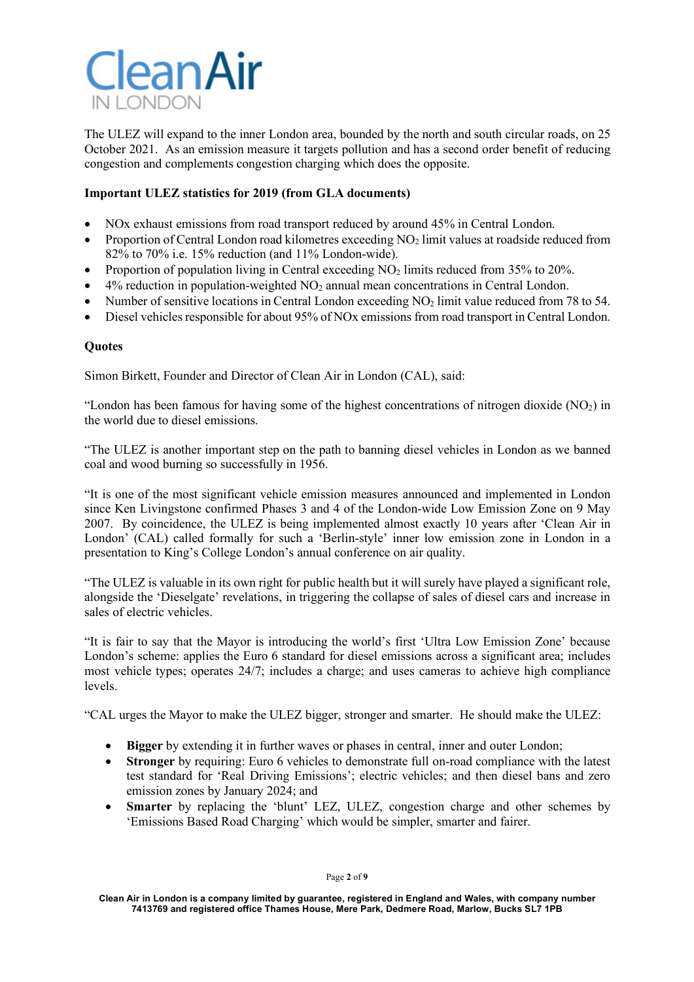

The ULEZ will expand to the inner London area, bounded by the north and south circular roads, on 25 October 2021. As an emission measure it targets pollution and has a second order benefit of reducing congestion and complements congestion charging which does the opposite.

# **Important ULEZ statistics for 2019 (from GLA documents)**

- NOx exhaust emissions from road transport reduced by around 45% in Central London.
- Proportion of Central London road kilometres exceeding  $NO<sub>2</sub>$  limit values at roadside reduced from 82% to 70% i.e. 15% reduction (and 11% London-wide).
- Proportion of population living in Central exceeding NO<sub>2</sub> limits reduced from 35% to 20%.
- $4\%$  reduction in population-weighted  $NO<sub>2</sub>$  annual mean concentrations in Central London.
- Number of sensitive locations in Central London exceeding NO<sub>2</sub> limit value reduced from 78 to 54.
- Diesel vehicles responsible for about 95% of NOx emissions from road transport in Central London.

## **Quotes**

Simon Birkett, Founder and Director of Clean Air in London (CAL), said:

"London has been famous for having some of the highest concentrations of nitrogen dioxide  $(NO<sub>2</sub>)$  in the world due to diesel emissions.

"The ULEZ is another important step on the path to banning diesel vehicles in London as we banned coal and wood burning so successfully in 1956.

"It is one of the most significant vehicle emission measures announced and implemented in London since Ken Livingstone confirmed Phases 3 and 4 of the London-wide Low Emission Zone on 9 May 2007. By coincidence, the ULEZ is being implemented almost exactly 10 years after 'Clean Air in London' (CAL) called formally for such a 'Berlin-style' inner low emission zone in London in a presentation to King's College London's annual conference on air quality.

"The ULEZ is valuable in its own right for public health but it will surely have played a significant role, alongside the 'Dieselgate' revelations, in triggering the collapse of sales of diesel cars and increase in sales of electric vehicles.

"It is fair to say that the Mayor is introducing the world's first 'Ultra Low Emission Zone' because London's scheme: applies the Euro 6 standard for diesel emissions across a significant area; includes most vehicle types; operates 24/7; includes a charge; and uses cameras to achieve high compliance levels.

"CAL urges the Mayor to make the ULEZ bigger, stronger and smarter. He should make the ULEZ:

- **Bigger** by extending it in further waves or phases in central, inner and outer London;
- **Stronger** by requiring: Euro 6 vehicles to demonstrate full on-road compliance with the latest test standard for 'Real Driving Emissions'; electric vehicles; and then diesel bans and zero emission zones by January 2024; and
- **Smarter** by replacing the 'blunt' LEZ, ULEZ, congestion charge and other schemes by 'Emissions Based Road Charging' which would be simpler, smarter and fairer.

Page **2** of **9**

**Clean Air in London is a company limited by guarantee, registered in England and Wales, with company number 7413769 and registered office Thames House, Mere Park, Dedmere Road, Marlow, Bucks SL7 1PB**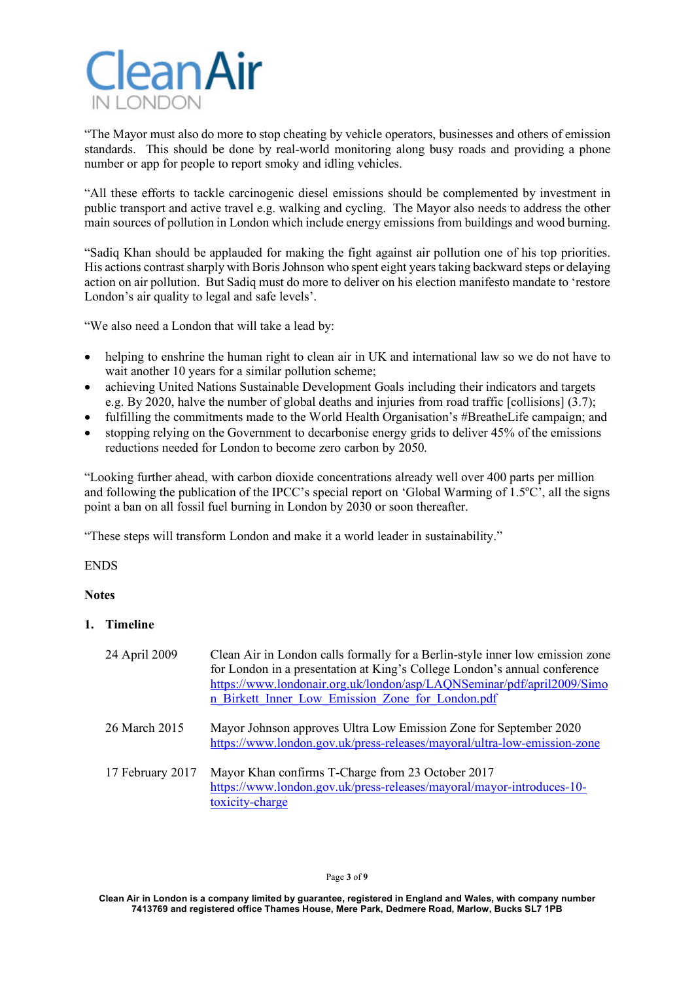

"The Mayor must also do more to stop cheating by vehicle operators, businesses and others of emission standards. This should be done by real-world monitoring along busy roads and providing a phone number or app for people to report smoky and idling vehicles.

"All these efforts to tackle carcinogenic diesel emissions should be complemented by investment in public transport and active travel e.g. walking and cycling. The Mayor also needs to address the other main sources of pollution in London which include energy emissions from buildings and wood burning.

"Sadiq Khan should be applauded for making the fight against air pollution one of his top priorities. His actions contrast sharply with Boris Johnson who spent eight years taking backward steps or delaying action on air pollution. But Sadiq must do more to deliver on his election manifesto mandate to 'restore London's air quality to legal and safe levels'.

"We also need a London that will take a lead by:

- helping to enshrine the human right to clean air in UK and international law so we do not have to wait another 10 years for a similar pollution scheme;
- achieving United Nations Sustainable Development Goals including their indicators and targets e.g. By 2020, halve the number of global deaths and injuries from road traffic [collisions] (3.7);
- fulfilling the commitments made to the World Health Organisation's #BreatheLife campaign; and
- stopping relying on the Government to decarbonise energy grids to deliver 45% of the emissions reductions needed for London to become zero carbon by 2050.

"Looking further ahead, with carbon dioxide concentrations already well over 400 parts per million and following the publication of the IPCC's special report on 'Global Warming of 1.5°C', all the signs point a ban on all fossil fuel burning in London by 2030 or soon thereafter.

"These steps will transform London and make it a world leader in sustainability."

ENDS

# **Notes**

**1. Timeline**

| 24 April 2009    | Clean Air in London calls formally for a Berlin-style inner low emission zone<br>for London in a presentation at King's College London's annual conference<br>https://www.londonair.org.uk/london/asp/LAQNSeminar/pdf/april2009/Simo<br>n Birkett Inner Low Emission Zone for London.pdf |
|------------------|------------------------------------------------------------------------------------------------------------------------------------------------------------------------------------------------------------------------------------------------------------------------------------------|
| 26 March 2015    | Mayor Johnson approves Ultra Low Emission Zone for September 2020<br>https://www.london.gov.uk/press-releases/mayoral/ultra-low-emission-zone                                                                                                                                            |
| 17 February 2017 | Mayor Khan confirms T-Charge from 23 October 2017<br>https://www.london.gov.uk/press-releases/mayoral/mayor-introduces-10-<br>toxicity-charge                                                                                                                                            |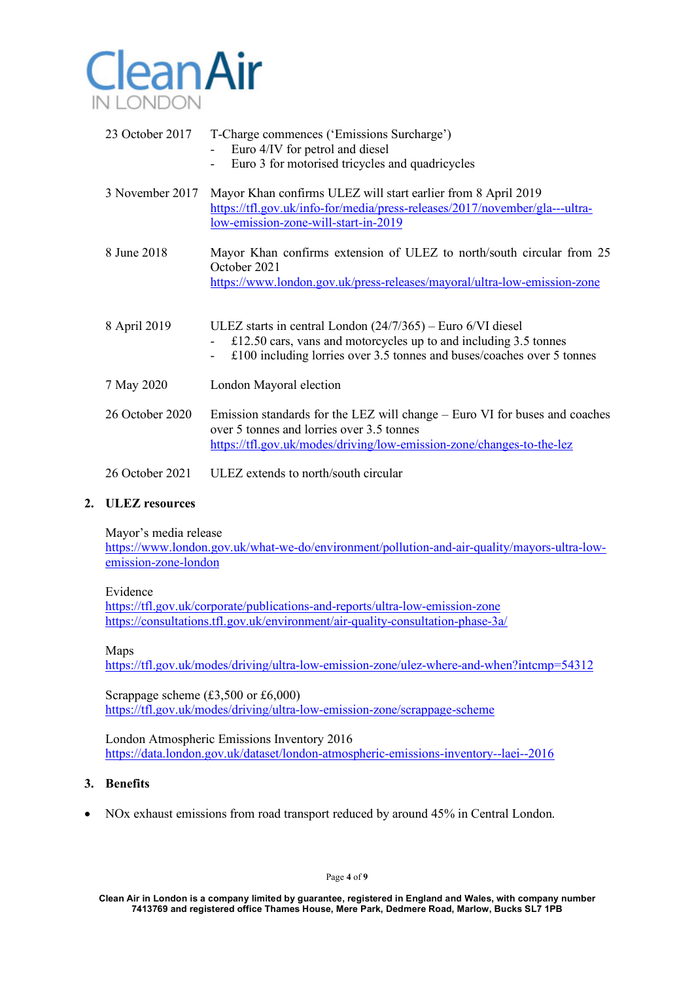

| 23 October 2017 | T-Charge commences ('Emissions Surcharge')<br>Euro 4/IV for petrol and diesel<br>Euro 3 for motorised tricycles and quadricycles                                                                                 |
|-----------------|------------------------------------------------------------------------------------------------------------------------------------------------------------------------------------------------------------------|
| 3 November 2017 | Mayor Khan confirms ULEZ will start earlier from 8 April 2019<br>https://tfl.gov.uk/info-for/media/press-releases/2017/november/gla---ultra-<br>low-emission-zone-will-start-in-2019                             |
| 8 June 2018     | Mayor Khan confirms extension of ULEZ to north/south circular from 25<br>October 2021<br>https://www.london.gov.uk/press-releases/mayoral/ultra-low-emission-zone                                                |
| 8 April 2019    | ULEZ starts in central London $(24/7/365)$ – Euro 6/VI diesel<br>$£12.50 cars$ , vans and motorcycles up to and including 3.5 tonnes<br>$£100$ including lorries over 3.5 tonnes and buses/coaches over 5 tonnes |
| 7 May 2020      | London Mayoral election                                                                                                                                                                                          |
| 26 October 2020 | Emission standards for the LEZ will change – Euro VI for buses and coaches<br>over 5 tonnes and lorries over 3.5 tonnes<br>https://tfl.gov.uk/modes/driving/low-emission-zone/changes-to-the-lez                 |
| 26 October 2021 | ULEZ extends to north/south circular                                                                                                                                                                             |

#### **2. ULEZ resources**

Mayor's media release

https://www.london.gov.uk/what-we-do/environment/pollution-and-air-quality/mayors-ultra-lowemission-zone-london

Evidence

https://tfl.gov.uk/corporate/publications-and-reports/ultra-low-emission-zone https://consultations.tfl.gov.uk/environment/air-quality-consultation-phase-3a/

Maps

https://tfl.gov.uk/modes/driving/ultra-low-emission-zone/ulez-where-and-when?intcmp=54312

Scrappage scheme (£3,500 or £6,000) https://tfl.gov.uk/modes/driving/ultra-low-emission-zone/scrappage-scheme

London Atmospheric Emissions Inventory 2016 https://data.london.gov.uk/dataset/london-atmospheric-emissions-inventory--laei--2016

## **3. Benefits**

• NOx exhaust emissions from road transport reduced by around 45% in Central London.

Page **4** of **9**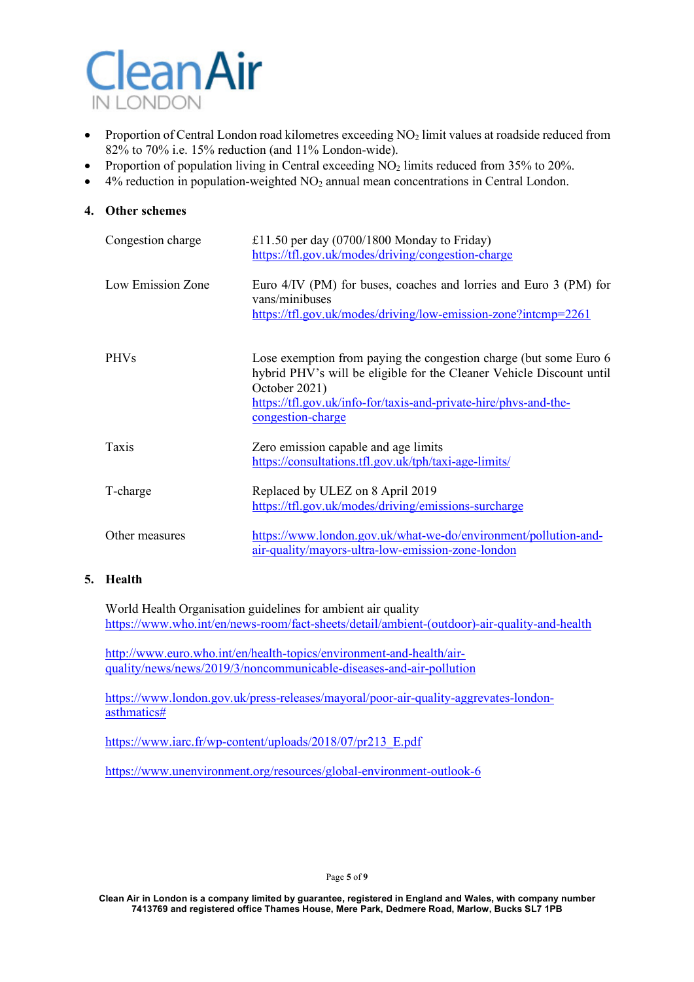

- Proportion of Central London road kilometres exceeding NO<sub>2</sub> limit values at roadside reduced from 82% to 70% i.e. 15% reduction (and 11% London-wide).
- Proportion of population living in Central exceeding NO<sub>2</sub> limits reduced from 35% to 20%.
- $4\%$  reduction in population-weighted  $NO<sub>2</sub>$  annual mean concentrations in Central London.

#### **4. Other schemes**

| Congestion charge | £11.50 per day $(0700/1800$ Monday to Friday)<br>https://tfl.gov.uk/modes/driving/congestion-charge                                                                                                                                                 |
|-------------------|-----------------------------------------------------------------------------------------------------------------------------------------------------------------------------------------------------------------------------------------------------|
| Low Emission Zone | Euro 4/IV (PM) for buses, coaches and lorries and Euro 3 (PM) for<br>vans/minibuses<br>https://tfl.gov.uk/modes/driving/low-emission-zone?intcmp=2261                                                                                               |
| <b>PHVs</b>       | Lose exemption from paying the congestion charge (but some Euro 6<br>hybrid PHV's will be eligible for the Cleaner Vehicle Discount until<br>October 2021)<br>https://tfl.gov.uk/info-for/taxis-and-private-hire/phys-and-the-<br>congestion-charge |
| Taxis             | Zero emission capable and age limits<br>https://consultations.tfl.gov.uk/tph/taxi-age-limits/                                                                                                                                                       |
| T-charge          | Replaced by ULEZ on 8 April 2019<br>https://tfl.gov.uk/modes/driving/emissions-surcharge                                                                                                                                                            |
| Other measures    | https://www.london.gov.uk/what-we-do/environment/pollution-and-<br>air-quality/mayors-ultra-low-emission-zone-london                                                                                                                                |

## **5. Health**

World Health Organisation guidelines for ambient air quality https://www.who.int/en/news-room/fact-sheets/detail/ambient-(outdoor)-air-quality-and-health

http://www.euro.who.int/en/health-topics/environment-and-health/airquality/news/news/2019/3/noncommunicable-diseases-and-air-pollution

https://www.london.gov.uk/press-releases/mayoral/poor-air-quality-aggrevates-londonasthmatics#

https://www.iarc.fr/wp-content/uploads/2018/07/pr213\_E.pdf

https://www.unenvironment.org/resources/global-environment-outlook-6

#### Page **5** of **9**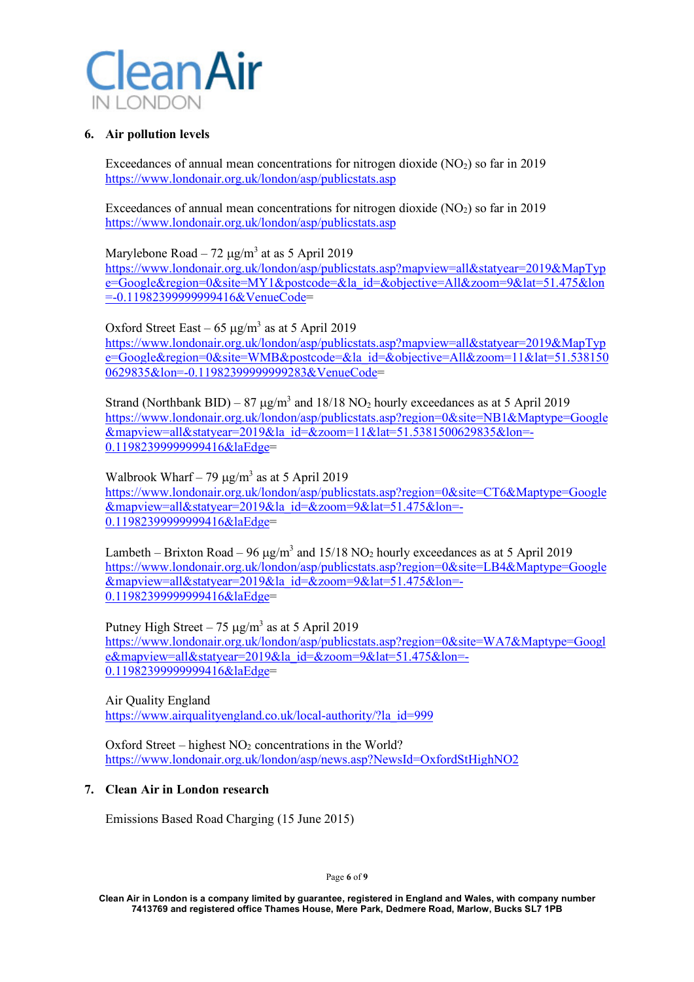

## **6. Air pollution levels**

Exceedances of annual mean concentrations for nitrogen dioxide  $(NO<sub>2</sub>)$  so far in 2019 https://www.londonair.org.uk/london/asp/publicstats.asp

Exceedances of annual mean concentrations for nitrogen dioxide  $(NO<sub>2</sub>)$  so far in 2019 https://www.londonair.org.uk/london/asp/publicstats.asp

Marylebone Road – 72  $\mu$ g/m<sup>3</sup> at as 5 April 2019 https://www.londonair.org.uk/london/asp/publicstats.asp?mapview=all&statyear=2019&MapTyp e=Google&region=0&site=MY1&postcode=&la\_id=&objective=All&zoom=9&lat=51.475&lon =-0.11982399999999416&VenueCode=

Oxford Street East – 65  $\mu$ g/m<sup>3</sup> as at 5 April 2019 https://www.londonair.org.uk/london/asp/publicstats.asp?mapview=all&statyear=2019&MapTyp e=Google&region=0&site=WMB&postcode=&la\_id=&objective=All&zoom=11&lat=51.538150 0629835&lon=-0.11982399999999283&VenueCode=

Strand (Northbank BID) – 87  $\mu$ g/m<sup>3</sup> and 18/18 NO<sub>2</sub> hourly exceedances as at 5 April 2019 https://www.londonair.org.uk/london/asp/publicstats.asp?region=0&site=NB1&Maptype=Google  $\&$ mapview=all $&$ statyear=2019 $&$ la\_id= $&$ zoom=11 $&$ lat=51.5381500629835 $&$ lon=-0.11982399999999416&laEdge=

Walbrook Wharf – 79  $\mu$ g/m<sup>3</sup> as at 5 April 2019 https://www.londonair.org.uk/london/asp/publicstats.asp?region=0&site=CT6&Maptype=Google &mapview=all&statyear=2019&la\_id=&zoom=9&lat=51.475&lon=- 0.11982399999999416&laEdge=

Lambeth – Brixton Road – 96  $\mu$ g/m<sup>3</sup> and 15/18 NO<sub>2</sub> hourly exceedances as at 5 April 2019 https://www.londonair.org.uk/london/asp/publicstats.asp?region=0&site=LB4&Maptype=Google  $\alpha$ mapview=all&statyear=2019&la\_id=&zoom=9&lat=51.475&lon=-0.11982399999999416&laEdge=

Putney High Street – 75  $\mu$ g/m<sup>3</sup> as at 5 April 2019 https://www.londonair.org.uk/london/asp/publicstats.asp?region=0&site=WA7&Maptype=Googl e&mapview=all&statyear=2019&la\_id=&zoom=9&lat=51.475&lon=- 0.11982399999999416&laEdge=

Air Quality England https://www.airqualityengland.co.uk/local-authority/?la\_id=999

Oxford Street – highest  $NO<sub>2</sub>$  concentrations in the World? https://www.londonair.org.uk/london/asp/news.asp?NewsId=OxfordStHighNO2

## **7. Clean Air in London research**

Emissions Based Road Charging (15 June 2015)

Page **6** of **9**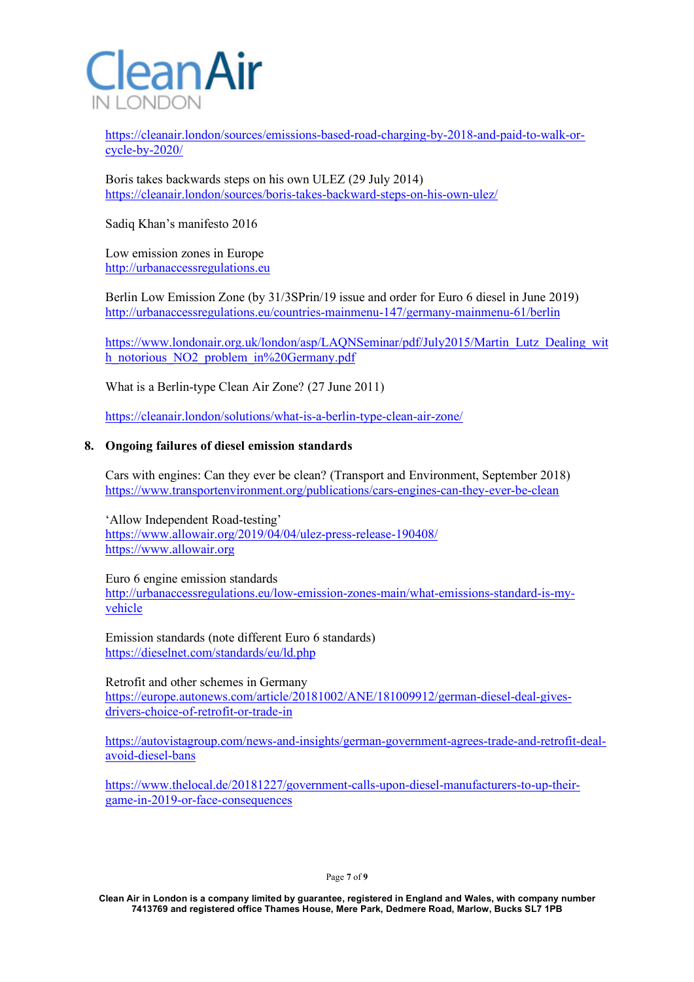

https://cleanair.london/sources/emissions-based-road-charging-by-2018-and-paid-to-walk-orcycle-by-2020/

Boris takes backwards steps on his own ULEZ (29 July 2014) https://cleanair.london/sources/boris-takes-backward-steps-on-his-own-ulez/

Sadiq Khan's manifesto 2016

Low emission zones in Europe http://urbanaccessregulations.eu

Berlin Low Emission Zone (by 31/3SPrin/19 issue and order for Euro 6 diesel in June 2019) http://urbanaccessregulations.eu/countries-mainmenu-147/germany-mainmenu-61/berlin

https://www.londonair.org.uk/london/asp/LAQNSeminar/pdf/July2015/Martin\_Lutz\_Dealing\_wit h\_notorious\_NO2\_problem\_in%20Germany.pdf

What is a Berlin-type Clean Air Zone? (27 June 2011)

https://cleanair.london/solutions/what-is-a-berlin-type-clean-air-zone/

#### **8. Ongoing failures of diesel emission standards**

Cars with engines: Can they ever be clean? (Transport and Environment, September 2018) https://www.transportenvironment.org/publications/cars-engines-can-they-ever-be-clean

'Allow Independent Road-testing' https://www.allowair.org/2019/04/04/ulez-press-release-190408/ https://www.allowair.org

Euro 6 engine emission standards http://urbanaccessregulations.eu/low-emission-zones-main/what-emissions-standard-is-myvehicle

Emission standards (note different Euro 6 standards) https://dieselnet.com/standards/eu/ld.php

Retrofit and other schemes in Germany

https://europe.autonews.com/article/20181002/ANE/181009912/german-diesel-deal-givesdrivers-choice-of-retrofit-or-trade-in

https://autovistagroup.com/news-and-insights/german-government-agrees-trade-and-retrofit-dealavoid-diesel-bans

https://www.thelocal.de/20181227/government-calls-upon-diesel-manufacturers-to-up-theirgame-in-2019-or-face-consequences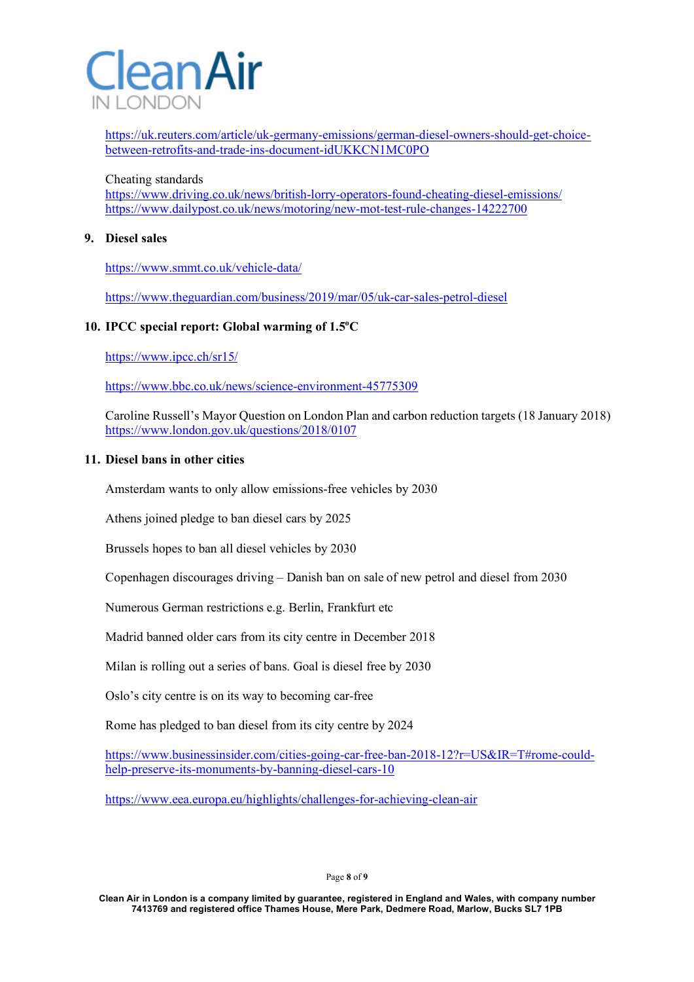

https://uk.reuters.com/article/uk-germany-emissions/german-diesel-owners-should-get-choicebetween-retrofits-and-trade-ins-document-idUKKCN1MC0PO

#### Cheating standards

https://www.driving.co.uk/news/british-lorry-operators-found-cheating-diesel-emissions/ https://www.dailypost.co.uk/news/motoring/new-mot-test-rule-changes-14222700

### **9. Diesel sales**

https://www.smmt.co.uk/vehicle-data/

https://www.theguardian.com/business/2019/mar/05/uk-car-sales-petrol-diesel

## 10. IPCC special report: Global warming of  $1.5^{\circ}$ C

https://www.ipcc.ch/sr15/

https://www.bbc.co.uk/news/science-environment-45775309

Caroline Russell's Mayor Question on London Plan and carbon reduction targets (18 January 2018) https://www.london.gov.uk/questions/2018/0107

#### **11. Diesel bans in other cities**

Amsterdam wants to only allow emissions-free vehicles by 2030

Athens joined pledge to ban diesel cars by 2025

Brussels hopes to ban all diesel vehicles by 2030

Copenhagen discourages driving – Danish ban on sale of new petrol and diesel from 2030

Numerous German restrictions e.g. Berlin, Frankfurt etc

Madrid banned older cars from its city centre in December 2018

Milan is rolling out a series of bans. Goal is diesel free by 2030

Oslo's city centre is on its way to becoming car-free

Rome has pledged to ban diesel from its city centre by 2024

https://www.businessinsider.com/cities-going-car-free-ban-2018-12?r=US&IR=T#rome-couldhelp-preserve-its-monuments-by-banning-diesel-cars-10

https://www.eea.europa.eu/highlights/challenges-for-achieving-clean-air

Page **8** of **9**